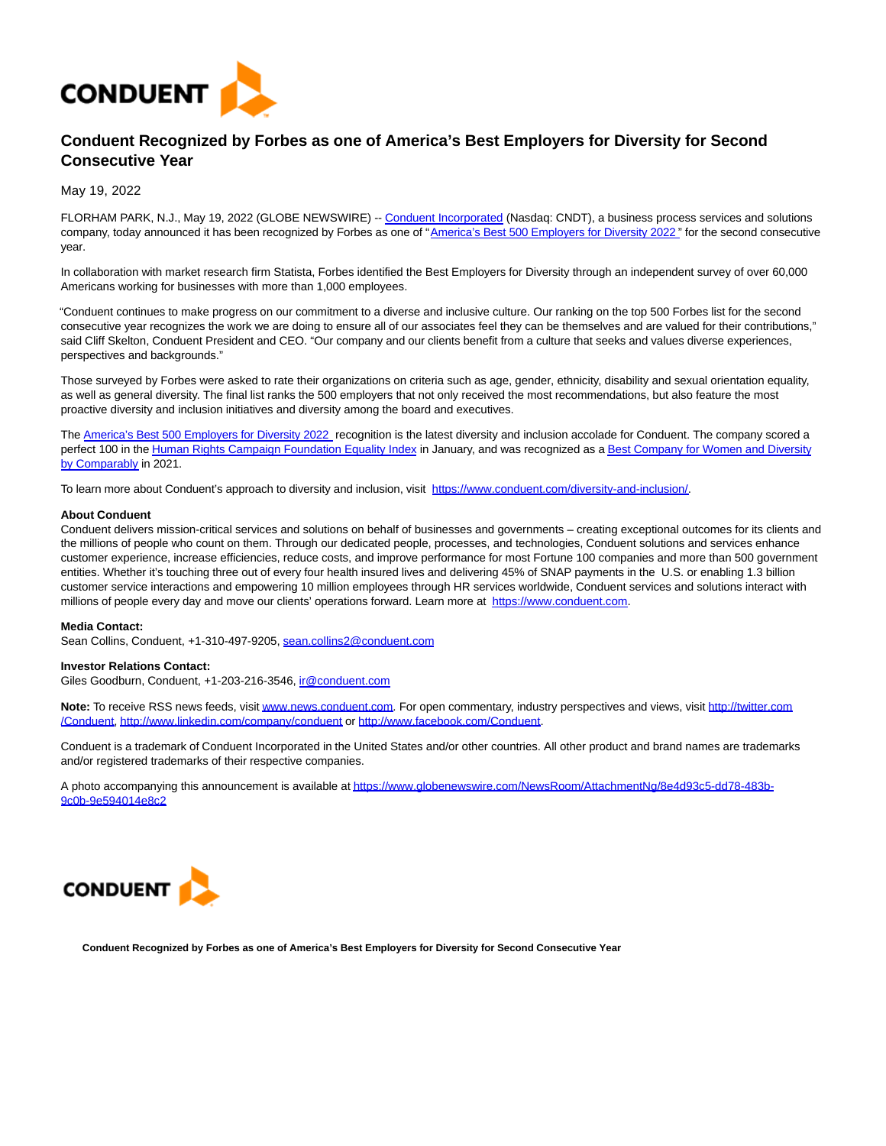

## **Conduent Recognized by Forbes as one of America's Best Employers for Diversity for Second Consecutive Year**

May 19, 2022

FLORHAM PARK, N.J., May 19, 2022 (GLOBE NEWSWIRE) -[- Conduent Incorporated \(](https://www.globenewswire.com/Tracker?data=Wn5Hg1cBlY12XIBqd075FV7HnTcvV-4vNqR_q5Qi22fetDELd-Z7ZUxvYdm7gIW3SfiJUiaMwbzh5StnAJQeMJn0Pl3rU7vha1Qag1fTlEexTSkIj0kV91eQ0WqGCSyp-aObBqt_6r3cT3L0b_y6JGAcCkyU7GGPdk-RMhMEzfP37iVUQ0LsdqkGzlbDDoOXpL6xD5trCMF18kVbYFZzyra8k00pus3zshvTGbs6eJGjzUt75-j2o08fMRg7AL0yMC4hO_mRJQkUQwvJdO-6hQ==)Nasdaq: CNDT), a business process services and solutions company, today announced it has been recognized by Forbes as one of ["America's Best 500 Employers for Diversity 2022](https://www.globenewswire.com/Tracker?data=X0tpkvk_OQEEbVApeeOpV3Fu-5A9ElZCvnsZzFcvpOCRM_fq49P4-J_mXvDgmlAnP4o7KUAiMlSzbh_wMTWdmfQ0QGddXoaY-sWHjP3WULqADe6ZZLXw9T7DYxIN1L4lDPEz6EEW6SFsco4R1mW0ApEW3XU7v_RJaXvf5kpVpuotuRNCYKYxJ6xI1ZDJHoza)" for the second consecutive year.

In collaboration with market research firm Statista, Forbes identified the Best Employers for Diversity through an independent survey of over 60,000 Americans working for businesses with more than 1,000 employees.

"Conduent continues to make progress on our commitment to a diverse and inclusive culture. Our ranking on the top 500 Forbes list for the second consecutive year recognizes the work we are doing to ensure all of our associates feel they can be themselves and are valued for their contributions," said Cliff Skelton, Conduent President and CEO. "Our company and our clients benefit from a culture that seeks and values diverse experiences, perspectives and backgrounds."

Those surveyed by Forbes were asked to rate their organizations on criteria such as age, gender, ethnicity, disability and sexual orientation equality, as well as general diversity. The final list ranks the 500 employers that not only received the most recommendations, but also feature the most proactive diversity and inclusion initiatives and diversity among the board and executives.

The [America's Best 500 Employers for Diversity 2022 r](https://www.globenewswire.com/Tracker?data=X0tpkvk_OQEEbVApeeOpV3Fu-5A9ElZCvnsZzFcvpOCRM_fq49P4-J_mXvDgmlAnCtXtQbwW46LGokWWvbD-NIlOMAk2GpMA7Ao-VOabFBXJ2OnSAD-ivelARW9sKPqo_S6xvFbs7Xq3YgEZOZ4jR1qTSshbLz6VtGin871P_u3J_1Zn3Tqh7XIXE2NXNbZw)ecognition is the latest diversity and inclusion accolade for Conduent. The company scored a perfect 100 in th[e Human Rights Campaign Foundation Equality Index i](https://www.globenewswire.com/Tracker?data=FQXudRDoD3OGFzkX1-4JSEVSnrsen9QGTcD_6xD9IGBeyo3O1E7NgiSSulDqS7gifjKv4rdcJAFOccsFe3r3X6Q4m0TWt9X6zOaqJ7ajmocHTTK3Y7BCks8EXN-UxQLplCw512RgP5zLhOLd9TfNDXXhuEqFdbmhJpTgygairSMmyUJWQS7e3btSxW9MRBDE0epIKneQXLhwKcHwqi4-HWa5W3ExjExP4n922Erlf4p3lz-Kik6A-RP2XuLqH4598ULDEZp-zprEJR0a46s1Cw==)n January, and was recognized as [a Best Company for Women and Diversity](https://www.globenewswire.com/Tracker?data=mPuIZ9cQ7MUXcnWBxYJ_GjbSWFkPdChG7je1RzjdBjiltPhMTVdAeaHzLvuxCsc1ttDY5XMQJkdIzFYAg0dugBxUTJarm7Ouxe7axCtog6r3zmmzJNwIT_i624cKjkpjSrf8j7IwWlLNU8XN8FrPQzqoi-q170MvJ1_I5n7HydRbLsPxavKOJQQTpXGWmHKuTlSXxdfzDEN0cnAkXi9-tTBhYXVeyTIy6cT5zIpeuTFTf0sRsivzIXPfql17y3Bi) by Comparably in 2021.

To learn more about Conduent's approach to diversity and inclusion, visit [https://www.conduent.com/diversity-and-inclusion/.](https://www.globenewswire.com/Tracker?data=XI54wmtNACk2f9vgrT4ZArNtfeJzKsQySuKPhVzzzh0bTt4sYdxYkDqTnYMP0BhrAolVXhYvPo78LS3a_kYt7NMFZs4uzkqVVd6G1inPHa8zCdps7hTErZuVJa4NWQ9V2TSMU3N8WzTZhYlDdJ9YtosGzIkv1nFH6kCFWga6KPQ=)

## **About Conduent**

Conduent delivers mission-critical services and solutions on behalf of businesses and governments – creating exceptional outcomes for its clients and the millions of people who count on them. Through our dedicated people, processes, and technologies, Conduent solutions and services enhance customer experience, increase efficiencies, reduce costs, and improve performance for most Fortune 100 companies and more than 500 government entities. Whether it's touching three out of every four health insured lives and delivering 45% of SNAP payments in the U.S. or enabling 1.3 billion customer service interactions and empowering 10 million employees through HR services worldwide, Conduent services and solutions interact with millions of people every day and move our clients' operations forward. Learn more at [https://www.conduent.com.](https://www.globenewswire.com/Tracker?data=XI54wmtNACk2f9vgrT4ZArNtfeJzKsQySuKPhVzzzh36nAPm23UM6KK-5nIrRcWQPdVJo8FZV4KJSJHyD-I2JTksLV7pvkVnmfaNQFTuM14=)

## **Media Contact:**

Sean Collins, Conduent, +1-310-497-9205, [sean.collins2@conduent.com](https://www.globenewswire.com/Tracker?data=ZayommPaOCqEIAq0tVhVsMJI19YoEh_UMsKtWuBCLEEcvBLBf4FsoK0UdkJqn8N6fTVeeXodbOfjLR7-tjrutiQvD_52BbydSOQ4x8EK7cFY1xb9rpibctZK5VAlSXH1)

## **Investor Relations Contact:**

Giles Goodburn, Conduent, +1-203-216-3546, [ir@conduent.com](https://www.globenewswire.com/Tracker?data=zlCG2_4g5Q4_6uZ47xASyThKvHrJG028vBHKF3Hv2Pq70tfDBQEzU4qXRTPS7g1xOYUzFaOnQzWLTzTQmQxW2g==)

Note: To receive RSS news feeds, visi[t www.news.conduent.com.](https://www.globenewswire.com/Tracker?data=6yHa1iPMAfTATg33lxvD4R5fXSzXi1C7eKdiGO21YCMyMHPHv06I0WXhZ57I22bdCLNC7fWBSESzTBXYUsNWhYici43TfwJEXMv-mYiHhZM=) For open commentary, industry perspectives and views, visit [http://twitter.com](https://www.globenewswire.com/Tracker?data=HlyXBVdGLgVPWn_hEr6-q9cXdfmjI24I860HP-DSuY_uXum6ga29Ft0XyvaCaQVfJZHKgce8lNS4ghCtalpFNKup04q7NMaqMCoCkDCpwg8=) /Conduent[, http://www.linkedin.com/company/conduent o](https://www.globenewswire.com/Tracker?data=HlyXBVdGLgVPWn_hEr6-q4VCR-a5urqryy1zWyX4jjt8kgvYJ7nO4LDpQe9veLsBdEa4Ta9srmnWBlPvSTbwJq_miigaSPcKUvXRsA4JTH2eRTTnAAedUMMJQqUjBnw1fHob1n4QQhxQYEitAn9KYA==)r [http://www.facebook.com/Conduent.](https://www.globenewswire.com/Tracker?data=HlyXBVdGLgVPWn_hEr6-q2543SgpSm4CgnVlbBVnMSVdChdRDCaprZe4ANM7HwAxXZ7GkZQ3so5TUl5ZQ-kUuw5GUps0uFhVYp8PBMkxAr6w_cB6eZcvEZ4MnZwZWcSp)

Conduent is a trademark of Conduent Incorporated in the United States and/or other countries. All other product and brand names are trademarks and/or registered trademarks of their respective companies.

A photo accompanying this announcement is available a[t https://www.globenewswire.com/NewsRoom/AttachmentNg/8e4d93c5-dd78-483b-](https://www.globenewswire.com/Tracker?data=XI54wmtNACk2f9vgrT4ZAqg7ABVRLbZ-Ey6HK6ylEM7Ly3lDyASc4hoDZ73bJ2FZ_DkU0onDYV3ITA-2IErczV4un0Wjhd1pDW0wWDS6dOACJTfutoZP0T3Xw55twZNt-72sl6dnlLJRF0om_rkU5w2ONeMBZwnJsIrvBzSb43KBCZYkii2b9tfK6n-0mtjvnGchbV4tkdjrph2JEjQSFjRj4aRYxgOGHUCC3szmMUTIh_0sv_kGI4s-6Ln2ECTo9z41jrK7o7h9JM5GufxQSw==)9c0b-9e594014e8c2



**Conduent Recognized by Forbes as one of America's Best Employers for Diversity for Second Consecutive Year**